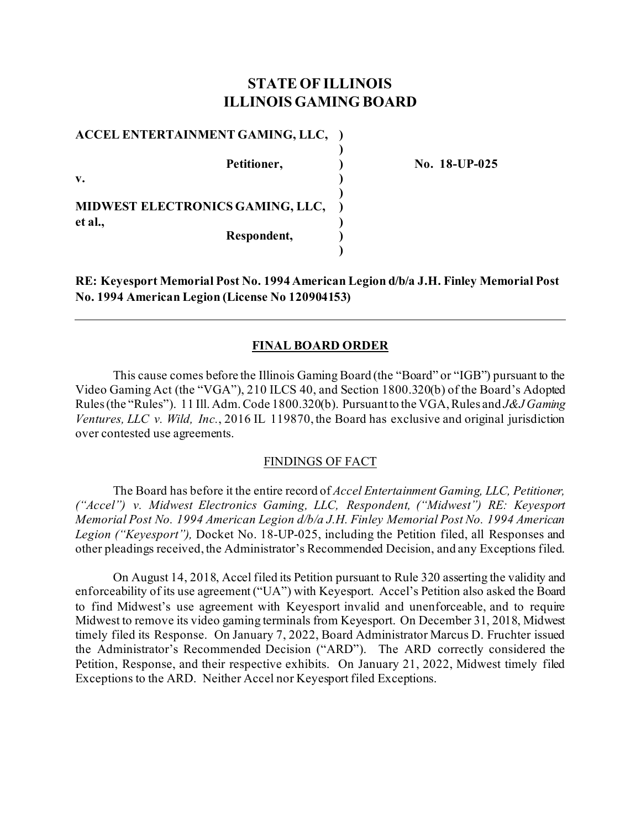# **STATE OF ILLINOIS ILLINOIS GAMING BOARD**

**)**

**)**

**)**

**ACCEL ENTERTAINMENT GAMING, LLC, ) Petitioner, ) No. 18-UP-025 v. ) MIDWEST ELECTRONICS GAMING, LLC, ) et al., ) Respondent, )**

**RE: Keyesport Memorial Post No. 1994 American Legion d/b/a J.H. Finley Memorial Post No. 1994 American Legion (License No 120904153)**

## **FINAL BOARD ORDER**

This cause comes before the Illinois Gaming Board (the "Board" or "IGB") pursuant to the Video Gaming Act (the "VGA"), 210 ILCS 40, and Section 1800.320(b) of the Board's Adopted Rules (the "Rules"). 11 Ill. Adm. Code 1800.320(b). Pursuant to the VGA, Rules and *J&J Gaming Ventures, LLC v. Wild, Inc.*, 2016 IL 119870, the Board has exclusive and original jurisdiction over contested use agreements.

### FINDINGS OF FACT

The Board has before it the entire record of *Accel Entertainment Gaming, LLC, Petitioner, ("Accel") v. Midwest Electronics Gaming, LLC, Respondent, ("Midwest") RE: Keyesport Memorial Post No. 1994 American Legion d/b/a J.H. Finley Memorial Post No. 1994 American Legion ("Keyesport"),* Docket No. 18-UP-025, including the Petition filed, all Responses and other pleadings received, the Administrator's Recommended Decision, and any Exceptions filed.

On August 14, 2018, Accel filed its Petition pursuant to Rule 320 asserting the validity and enforceability of its use agreement ("UA") with Keyesport. Accel's Petition also asked the Board to find Midwest's use agreement with Keyesport invalid and unenforceable, and to require Midwest to remove its video gaming terminals from Keyesport. On December 31, 2018, Midwest timely filed its Response. On January 7, 2022, Board Administrator Marcus D. Fruchter issued the Administrator's Recommended Decision ("ARD"). The ARD correctly considered the Petition, Response, and their respective exhibits. On January 21, 2022, Midwest timely filed Exceptions to the ARD. Neither Accel nor Keyesport filed Exceptions.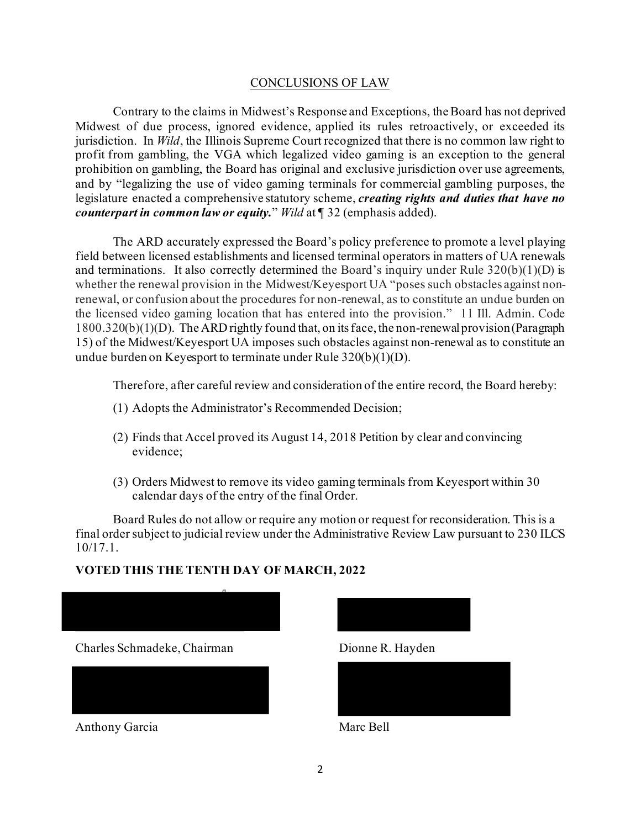## CONCLUSIONS OF LAW

Contrary to the claims in Midwest's Response and Exceptions, the Board has not deprived Midwest of due process, ignored evidence, applied its rules retroactively, or exceeded its jurisdiction. In *Wild*, the Illinois Supreme Court recognized that there is no common law right to profit from gambling, the VGA which legalized video gaming is an exception to the general prohibition on gambling, the Board has original and exclusive jurisdiction over use agreements, and by "legalizing the use of video gaming terminals for commercial gambling purposes, the legislature enacted a comprehensive statutory scheme, *creating rights and duties that have no counterpart in common law or equity.*" *Wild* at ¶ 32 (emphasis added).

The ARD accurately expressed the Board's policy preference to promote a level playing field between licensed establishments and licensed terminal operators in matters of UA renewals and terminations. It also correctly determined the Board's inquiry under Rule  $320(b)(1)(D)$  is whether the renewal provision in the Midwest/Keyesport UA "poses such obstacles against nonrenewal, or confusion about the procedures for non-renewal, as to constitute an undue burden on the licensed video gaming location that has entered into the provision." 11 Ill. Admin. Code 1800.320(b)(1)(D). The ARD rightly found that, on its face, the non-renewal provision (Paragraph 15) of the Midwest/Keyesport UA imposes such obstacles against non-renewal as to constitute an undue burden on Keyesport to terminate under Rule 320(b)(1)(D).

Therefore, after careful review and consideration of the entire record, the Board hereby:

- (1) Adopts the Administrator's Recommended Decision;
- (2) Finds that Accel proved its August 14, 2018 Petition by clear and convincing evidence;
- (3) Orders Midwest to remove its video gaming terminals from Keyesport within 30 calendar days of the entry of the final Order.

Board Rules do not allow or require any motion or request for reconsideration. This is a final order subject to judicial review under the Administrative Review Law pursuant to 230 ILCS 10/17.1.

# **VOTED THIS THE TENTH DAY OF MARCH, 2022**





Anthony Garcia Marc Bell





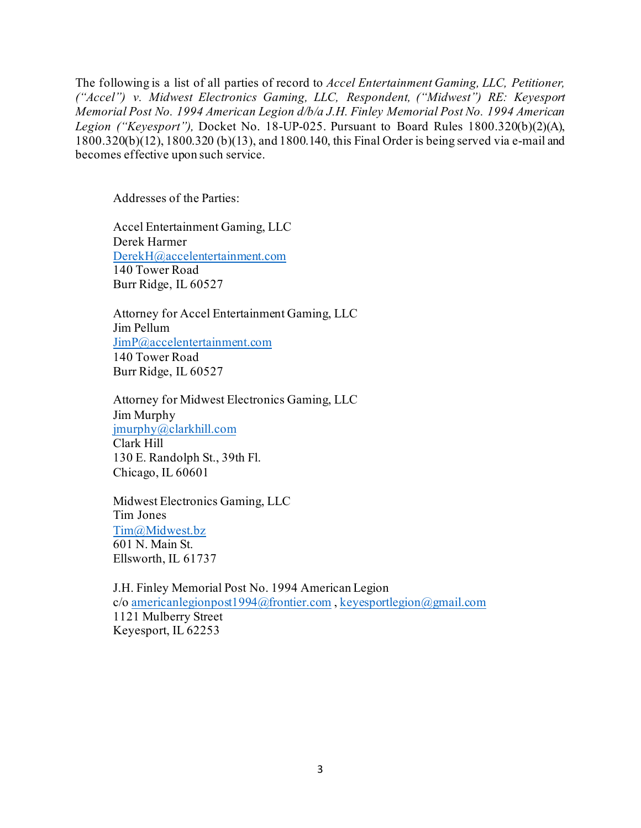The following is a list of all parties of record to *Accel Entertainment Gaming, LLC, Petitioner, ("Accel") v. Midwest Electronics Gaming, LLC, Respondent, ("Midwest") RE: Keyesport Memorial Post No. 1994 American Legion d/b/a J.H. Finley Memorial Post No. 1994 American Legion ("Keyesport"),* Docket No. 18-UP-025. Pursuant to Board Rules 1800.320(b)(2)(A), 1800.320(b)(12), 1800.320 (b)(13), and 1800.140, this Final Order is being served via e-mail and becomes effective upon such service.

Addresses of the Parties:

Accel Entertainment Gaming, LLC Derek Harmer [DerekH@accelentertainment.com](mailto:DerekH@accelentertainment.com) 140 Tower Road Burr Ridge, IL 60527

Attorney for Accel Entertainment Gaming, LLC Jim Pellum [JimP@accelentertainment.com](mailto:JimP@accelentertainment.com) 140 Tower Road Burr Ridge, IL 60527

Attorney for Midwest Electronics Gaming, LLC Jim Murphy [jmurphy@clarkhill.com](mailto:jmurphy@clarkhill.com) Clark Hill 130 E. Randolph St., 39th Fl. Chicago, IL 60601

Midwest Electronics Gaming, LLC Tim Jones [Tim@Midwest.bz](mailto:Tim@Midwest.bz) 601 N. Main St. Ellsworth, IL 61737

J.H. Finley Memorial Post No. 1994 American Legion c/o [americanlegionpost1994@frontier.com](mailto:americanlegionpost1994@frontier.com) [, keyesportlegion@gmail.com](mailto:keyesportlegion@gmail.com) 1121 Mulberry Street Keyesport, IL 62253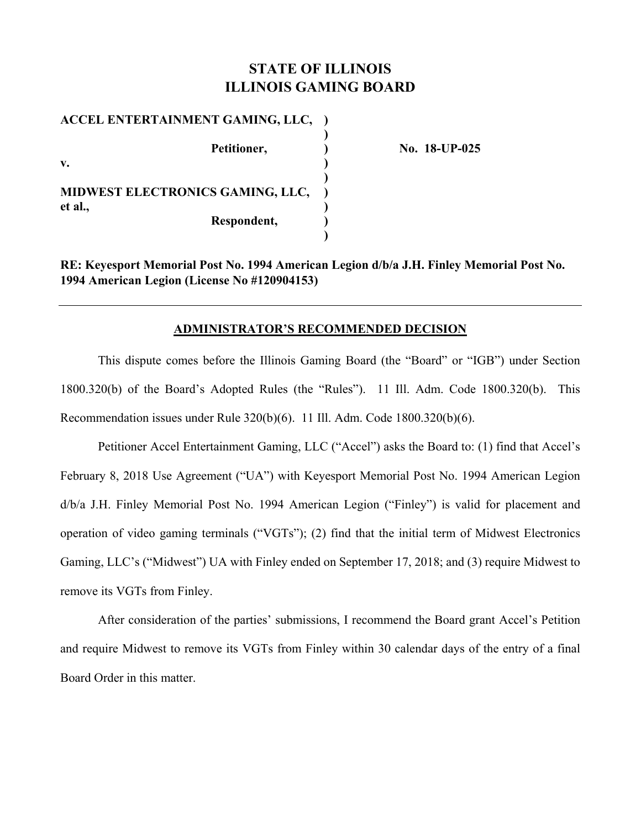# **STATE OF ILLINOIS ILLINOIS GAMING BOARD**

| ACCEL ENTERTAINMENT GAMING, LLC,        |  |
|-----------------------------------------|--|
| Petitioner,<br>$\mathbf{v}$ .           |  |
| <b>MIDWEST ELECTRONICS GAMING, LLC,</b> |  |
| et al.,<br>Respondent,                  |  |

**No. 18-UP-025** 

**RE: Keyesport Memorial Post No. 1994 American Legion d/b/a J.H. Finley Memorial Post No. 1994 American Legion (License No #120904153)** 

## **ADMINISTRATOR'S RECOMMENDED DECISION**

This dispute comes before the Illinois Gaming Board (the "Board" or "IGB") under Section 1800.320(b) of the Board's Adopted Rules (the "Rules"). 11 Ill. Adm. Code 1800.320(b). This Recommendation issues under Rule 320(b)(6). 11 Ill. Adm. Code 1800.320(b)(6).

Petitioner Accel Entertainment Gaming, LLC ("Accel") asks the Board to: (1) find that Accel's February 8, 2018 Use Agreement ("UA") with Keyesport Memorial Post No. 1994 American Legion d/b/a J.H. Finley Memorial Post No. 1994 American Legion ("Finley") is valid for placement and operation of video gaming terminals ("VGTs"); (2) find that the initial term of Midwest Electronics Gaming, LLC's ("Midwest") UA with Finley ended on September 17, 2018; and (3) require Midwest to remove its VGTs from Finley.

After consideration of the parties' submissions, I recommend the Board grant Accel's Petition and require Midwest to remove its VGTs from Finley within 30 calendar days of the entry of a final Board Order in this matter.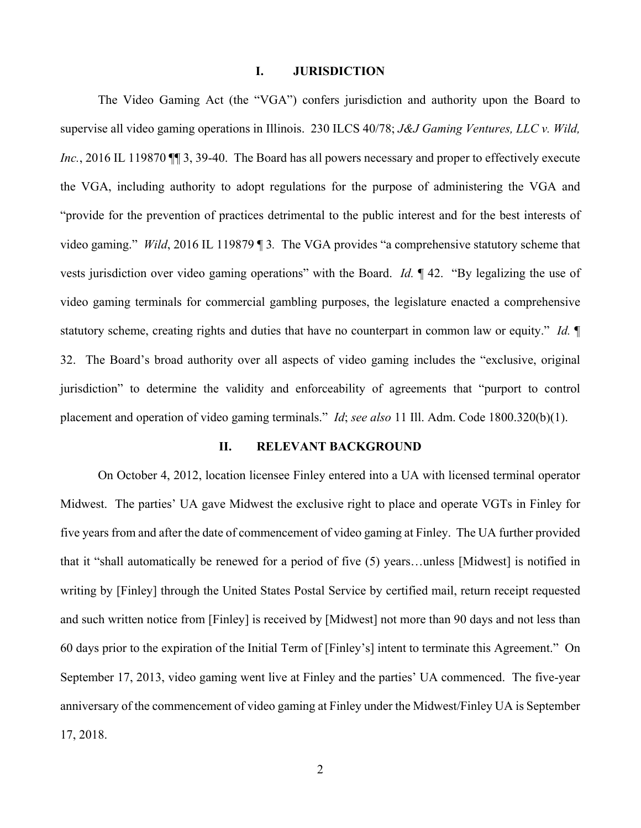### **I. JURISDICTION**

The Video Gaming Act (the "VGA") confers jurisdiction and authority upon the Board to supervise all video gaming operations in Illinois. 230 ILCS 40/78; *J&J Gaming Ventures, LLC v. Wild, Inc.*, 2016 IL 119870  $\P$  3, 39-40. The Board has all powers necessary and proper to effectively execute the VGA, including authority to adopt regulations for the purpose of administering the VGA and "provide for the prevention of practices detrimental to the public interest and for the best interests of video gaming." *Wild*, 2016 IL 119879 ¶ 3*.* The VGA provides "a comprehensive statutory scheme that vests jurisdiction over video gaming operations" with the Board. *Id.* ¶ 42. "By legalizing the use of video gaming terminals for commercial gambling purposes, the legislature enacted a comprehensive statutory scheme, creating rights and duties that have no counterpart in common law or equity." *Id.* ¶ 32. The Board's broad authority over all aspects of video gaming includes the "exclusive, original jurisdiction" to determine the validity and enforceability of agreements that "purport to control placement and operation of video gaming terminals." *Id*; *see also* 11 Ill. Adm. Code 1800.320(b)(1).

#### **II. RELEVANT BACKGROUND**

On October 4, 2012, location licensee Finley entered into a UA with licensed terminal operator Midwest. The parties' UA gave Midwest the exclusive right to place and operate VGTs in Finley for five years from and after the date of commencement of video gaming at Finley. The UA further provided that it "shall automatically be renewed for a period of five (5) years…unless [Midwest] is notified in writing by [Finley] through the United States Postal Service by certified mail, return receipt requested and such written notice from [Finley] is received by [Midwest] not more than 90 days and not less than 60 days prior to the expiration of the Initial Term of [Finley's] intent to terminate this Agreement." On September 17, 2013, video gaming went live at Finley and the parties' UA commenced. The five-year anniversary of the commencement of video gaming at Finley under the Midwest/Finley UA is September 17, 2018.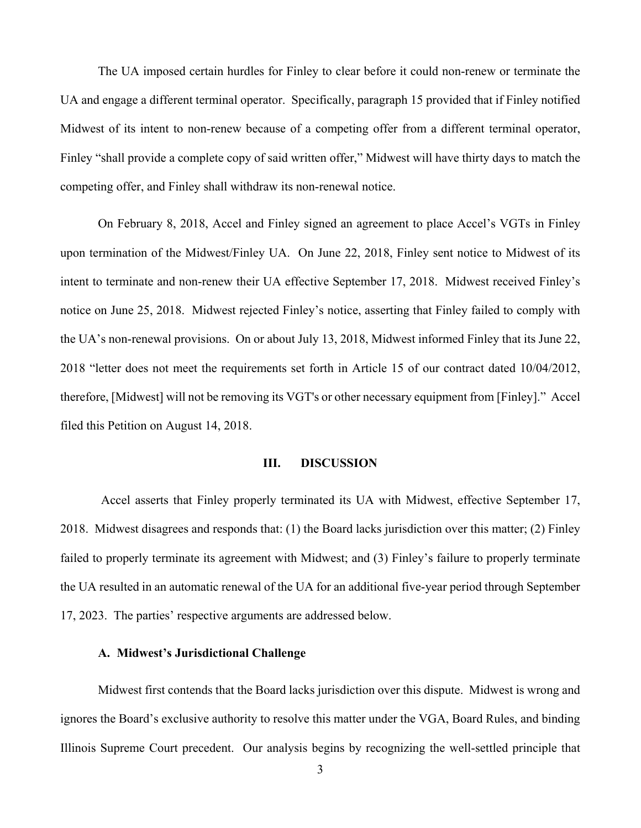The UA imposed certain hurdles for Finley to clear before it could non-renew or terminate the UA and engage a different terminal operator. Specifically, paragraph 15 provided that if Finley notified Midwest of its intent to non-renew because of a competing offer from a different terminal operator, Finley "shall provide a complete copy of said written offer," Midwest will have thirty days to match the competing offer, and Finley shall withdraw its non-renewal notice.

On February 8, 2018, Accel and Finley signed an agreement to place Accel's VGTs in Finley upon termination of the Midwest/Finley UA. On June 22, 2018, Finley sent notice to Midwest of its intent to terminate and non-renew their UA effective September 17, 2018. Midwest received Finley's notice on June 25, 2018. Midwest rejected Finley's notice, asserting that Finley failed to comply with the UA's non-renewal provisions. On or about July 13, 2018, Midwest informed Finley that its June 22, 2018 "letter does not meet the requirements set forth in Article 15 of our contract dated 10/04/2012, therefore, [Midwest] will not be removing its VGT's or other necessary equipment from [Finley]." Accel filed this Petition on August 14, 2018.

### **III. DISCUSSION**

 Accel asserts that Finley properly terminated its UA with Midwest, effective September 17, 2018. Midwest disagrees and responds that: (1) the Board lacks jurisdiction over this matter; (2) Finley failed to properly terminate its agreement with Midwest; and (3) Finley's failure to properly terminate the UA resulted in an automatic renewal of the UA for an additional five-year period through September 17, 2023. The parties' respective arguments are addressed below.

#### **A. Midwest's Jurisdictional Challenge**

Midwest first contends that the Board lacks jurisdiction over this dispute. Midwest is wrong and ignores the Board's exclusive authority to resolve this matter under the VGA, Board Rules, and binding Illinois Supreme Court precedent. Our analysis begins by recognizing the well-settled principle that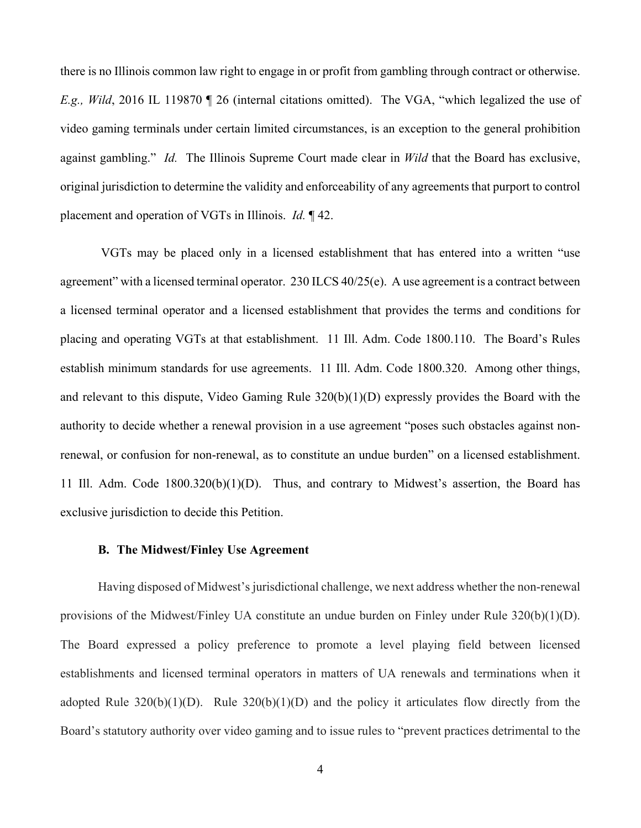there is no Illinois common law right to engage in or profit from gambling through contract or otherwise. *E.g., Wild*, 2016 IL 119870 ¶ 26 (internal citations omitted). The VGA, "which legalized the use of video gaming terminals under certain limited circumstances, is an exception to the general prohibition against gambling." *Id.* The Illinois Supreme Court made clear in *Wild* that the Board has exclusive, original jurisdiction to determine the validity and enforceability of any agreements that purport to control placement and operation of VGTs in Illinois. *Id.* ¶ 42.

 VGTs may be placed only in a licensed establishment that has entered into a written "use agreement" with a licensed terminal operator. 230 ILCS 40/25(e). A use agreement is a contract between a licensed terminal operator and a licensed establishment that provides the terms and conditions for placing and operating VGTs at that establishment. 11 Ill. Adm. Code 1800.110. The Board's Rules establish minimum standards for use agreements. 11 Ill. Adm. Code 1800.320. Among other things, and relevant to this dispute, Video Gaming Rule 320(b)(1)(D) expressly provides the Board with the authority to decide whether a renewal provision in a use agreement "poses such obstacles against nonrenewal, or confusion for non-renewal, as to constitute an undue burden" on a licensed establishment. 11 Ill. Adm. Code 1800.320(b)(1)(D). Thus, and contrary to Midwest's assertion, the Board has exclusive jurisdiction to decide this Petition.

#### **B. The Midwest/Finley Use Agreement**

Having disposed of Midwest's jurisdictional challenge, we next address whether the non-renewal provisions of the Midwest/Finley UA constitute an undue burden on Finley under Rule 320(b)(1)(D). The Board expressed a policy preference to promote a level playing field between licensed establishments and licensed terminal operators in matters of UA renewals and terminations when it adopted Rule  $320(b)(1)(D)$ . Rule  $320(b)(1)(D)$  and the policy it articulates flow directly from the Board's statutory authority over video gaming and to issue rules to "prevent practices detrimental to the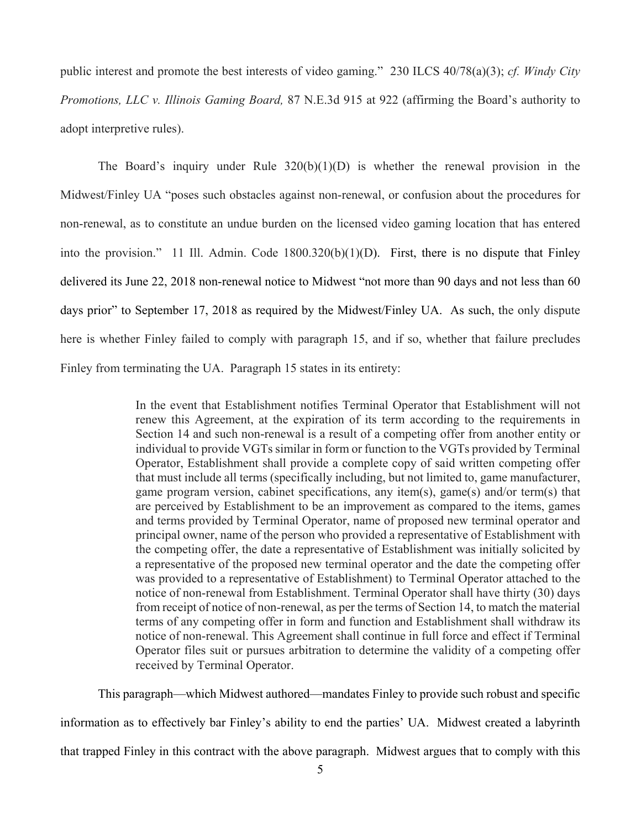public interest and promote the best interests of video gaming." 230 ILCS 40/78(a)(3); *cf. Windy City Promotions, LLC v. Illinois Gaming Board,* 87 N.E.3d 915 at 922 (affirming the Board's authority to adopt interpretive rules).

The Board's inquiry under Rule  $320(b)(1)(D)$  is whether the renewal provision in the Midwest/Finley UA "poses such obstacles against non-renewal, or confusion about the procedures for non-renewal, as to constitute an undue burden on the licensed video gaming location that has entered into the provision." 11 Ill. Admin. Code 1800.320(b)(1)(D). First, there is no dispute that Finley delivered its June 22, 2018 non-renewal notice to Midwest "not more than 90 days and not less than 60 days prior" to September 17, 2018 as required by the Midwest/Finley UA. As such, the only dispute here is whether Finley failed to comply with paragraph 15, and if so, whether that failure precludes Finley from terminating the UA. Paragraph 15 states in its entirety:

> In the event that Establishment notifies Terminal Operator that Establishment will not renew this Agreement, at the expiration of its term according to the requirements in Section 14 and such non-renewal is a result of a competing offer from another entity or individual to provide VGTs similar in form or function to the VGTs provided by Terminal Operator, Establishment shall provide a complete copy of said written competing offer that must include all terms (specifically including, but not limited to, game manufacturer, game program version, cabinet specifications, any item(s), game(s) and/or term(s) that are perceived by Establishment to be an improvement as compared to the items, games and terms provided by Terminal Operator, name of proposed new terminal operator and principal owner, name of the person who provided a representative of Establishment with the competing offer, the date a representative of Establishment was initially solicited by a representative of the proposed new terminal operator and the date the competing offer was provided to a representative of Establishment) to Terminal Operator attached to the notice of non-renewal from Establishment. Terminal Operator shall have thirty (30) days from receipt of notice of non-renewal, as per the terms of Section 14, to match the material terms of any competing offer in form and function and Establishment shall withdraw its notice of non-renewal. This Agreement shall continue in full force and effect if Terminal Operator files suit or pursues arbitration to determine the validity of a competing offer received by Terminal Operator.

This paragraph—which Midwest authored—mandates Finley to provide such robust and specific information as to effectively bar Finley's ability to end the parties' UA. Midwest created a labyrinth that trapped Finley in this contract with the above paragraph. Midwest argues that to comply with this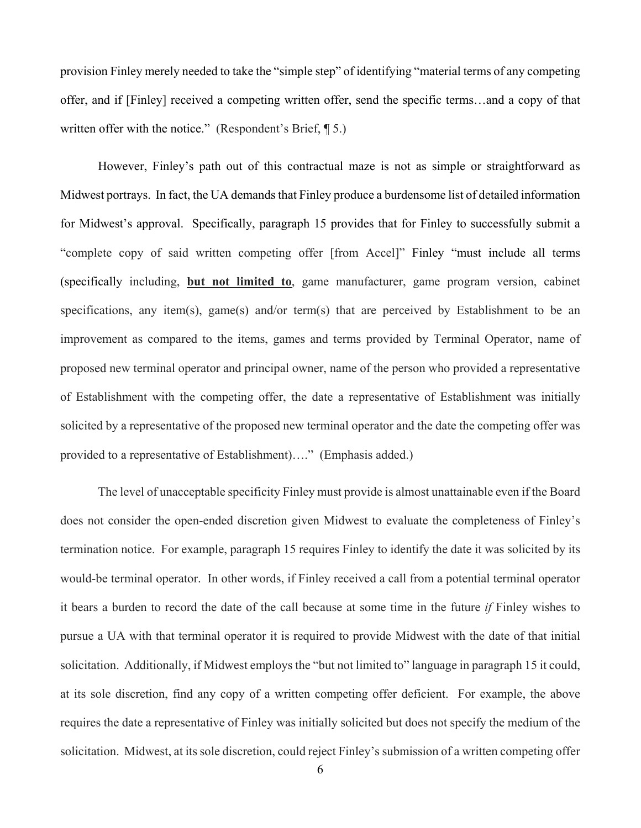provision Finley merely needed to take the "simple step" of identifying "material terms of any competing offer, and if [Finley] received a competing written offer, send the specific terms…and a copy of that written offer with the notice." (Respondent's Brief, ¶ 5.)

However, Finley's path out of this contractual maze is not as simple or straightforward as Midwest portrays. In fact, the UA demands that Finley produce a burdensome list of detailed information for Midwest's approval. Specifically, paragraph 15 provides that for Finley to successfully submit a "complete copy of said written competing offer [from Accel]" Finley "must include all terms (specifically including, **but not limited to**, game manufacturer, game program version, cabinet specifications, any item(s), game(s) and/or term(s) that are perceived by Establishment to be an improvement as compared to the items, games and terms provided by Terminal Operator, name of proposed new terminal operator and principal owner, name of the person who provided a representative of Establishment with the competing offer, the date a representative of Establishment was initially solicited by a representative of the proposed new terminal operator and the date the competing offer was provided to a representative of Establishment)…." (Emphasis added.)

The level of unacceptable specificity Finley must provide is almost unattainable even if the Board does not consider the open-ended discretion given Midwest to evaluate the completeness of Finley's termination notice. For example, paragraph 15 requires Finley to identify the date it was solicited by its would-be terminal operator. In other words, if Finley received a call from a potential terminal operator it bears a burden to record the date of the call because at some time in the future *if* Finley wishes to pursue a UA with that terminal operator it is required to provide Midwest with the date of that initial solicitation. Additionally, if Midwest employs the "but not limited to" language in paragraph 15 it could, at its sole discretion, find any copy of a written competing offer deficient. For example, the above requires the date a representative of Finley was initially solicited but does not specify the medium of the solicitation. Midwest, at its sole discretion, could reject Finley's submission of a written competing offer